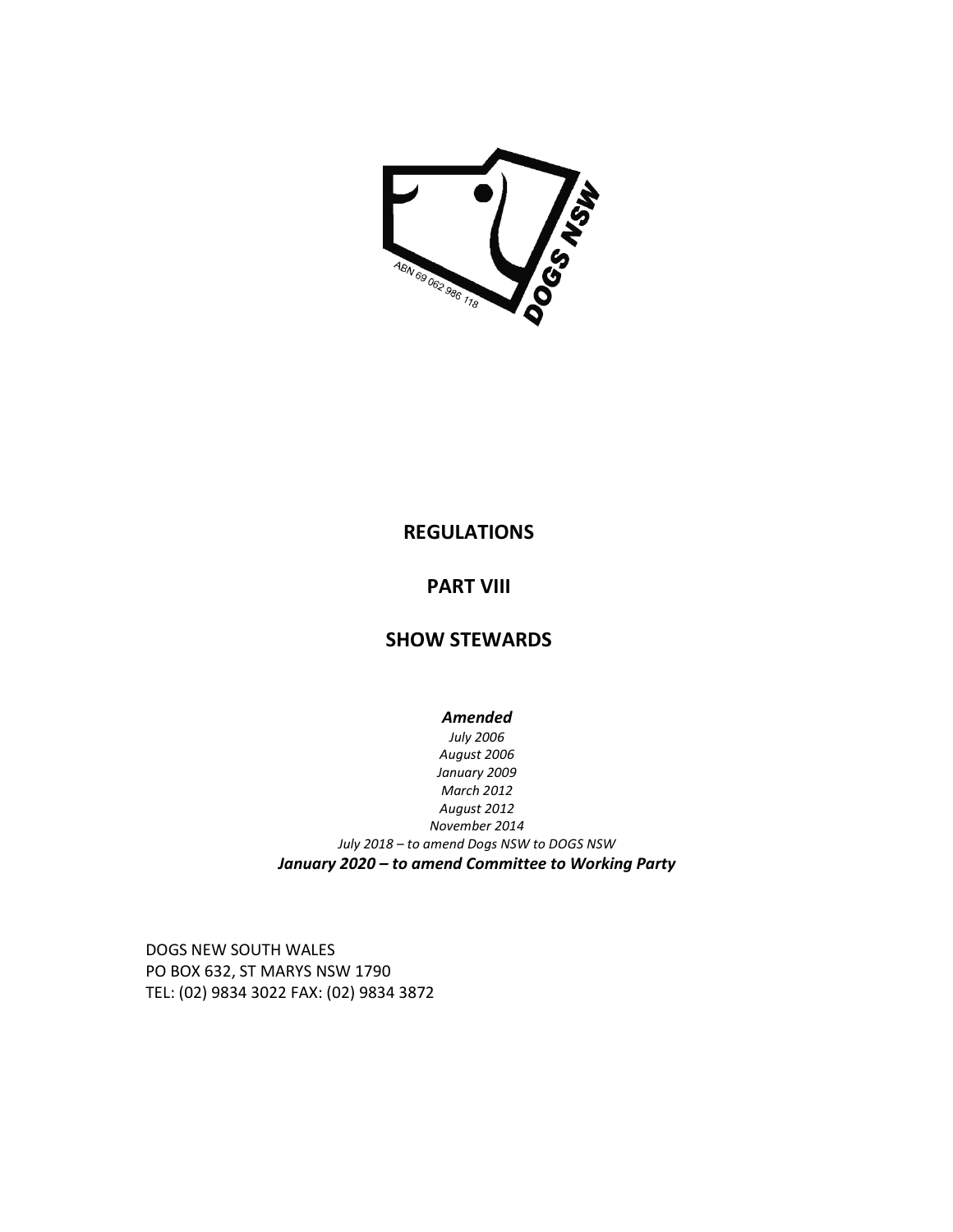

# **REGULATIONS**

# **PART VIII**

# **SHOW STEWARDS**

*Amended July 2006 August 2006 January 2009 March 2012 August 2012 November 2014 July 2018 – to amend Dogs NSW to DOGS NSW January 2020 – to amend Committee to Working Party* 

DOGS NEW SOUTH WALES PO BOX 632, ST MARYS NSW 1790 TEL: (02) 9834 3022 FAX: (02) 9834 3872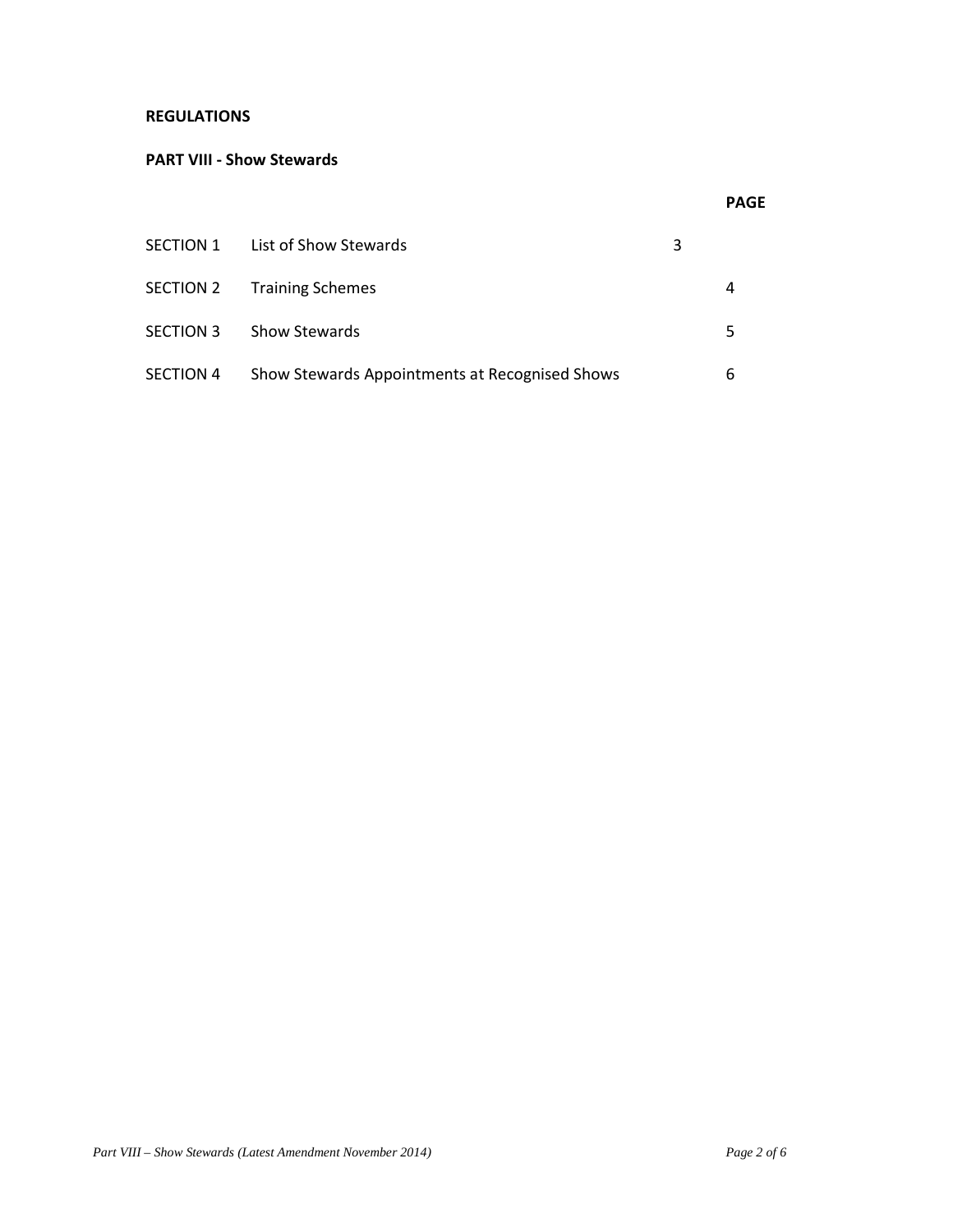## **REGULATIONS**

### **PART VIII - Show Stewards**

|           | SECTION 1 List of Show Stewards                | 3 |   |
|-----------|------------------------------------------------|---|---|
|           | SECTION 2 Training Schemes                     |   | 4 |
| SECTION 3 | <b>Show Stewards</b>                           |   | 5 |
| SECTION 4 | Show Stewards Appointments at Recognised Shows |   | 6 |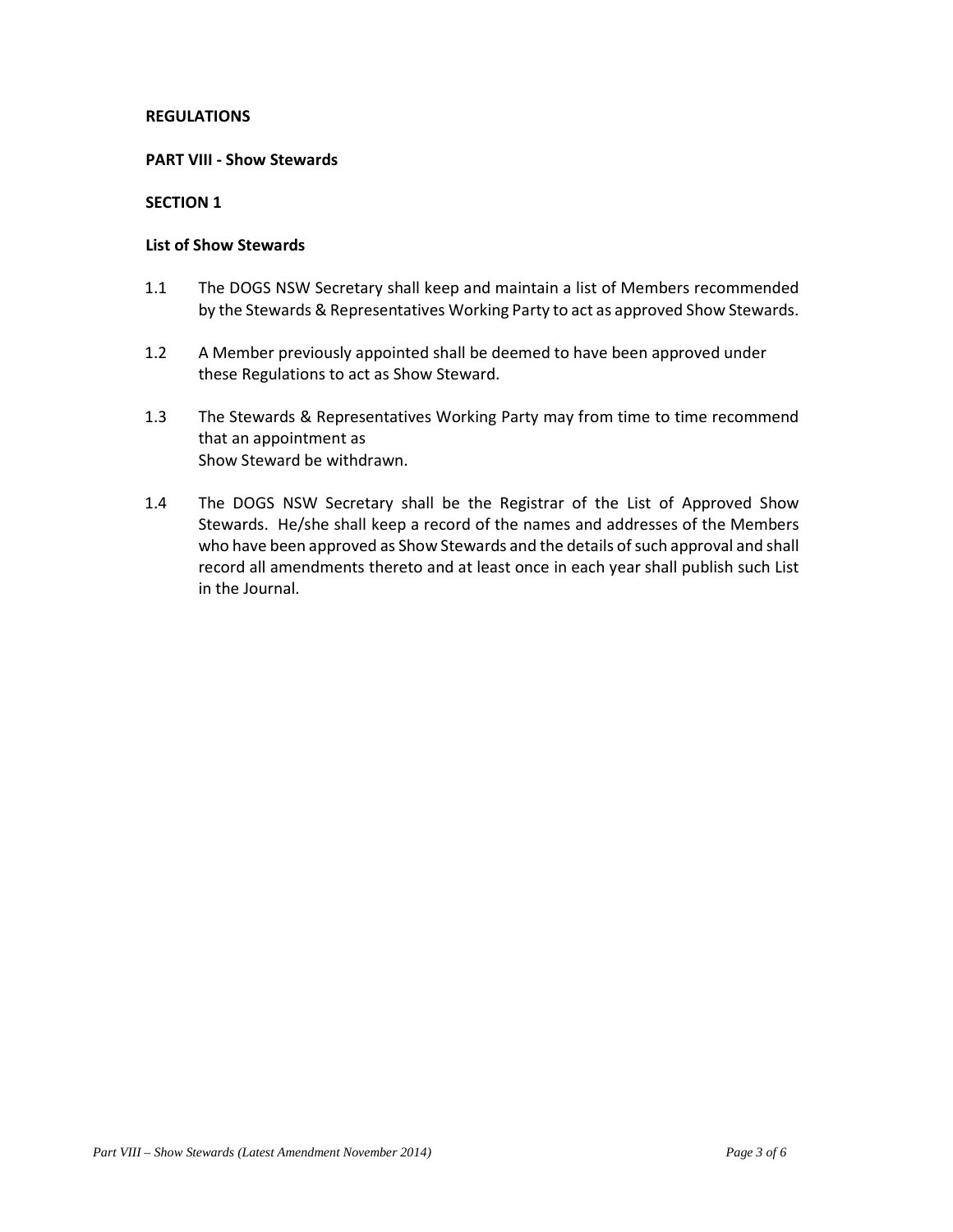## **REGULATIONS**

#### **PART VIII - Show Stewards**

## **SECTION 1**

#### **List of Show Stewards**

- 1.1 The DOGS NSW Secretary shall keep and maintain a list of Members recommended by the Stewards & Representatives Working Party to act as approved Show Stewards.
- 1.2 A Member previously appointed shall be deemed to have been approved under these Regulations to act as Show Steward.
- 1.3 The Stewards & Representatives Working Party may from time to time recommend that an appointment as Show Steward be withdrawn.
- 1.4 The DOGS NSW Secretary shall be the Registrar of the List of Approved Show Stewards. He/she shall keep a record of the names and addresses of the Members who have been approved as Show Stewards and the details of such approval and shall record all amendments thereto and at least once in each year shall publish such List in the Journal.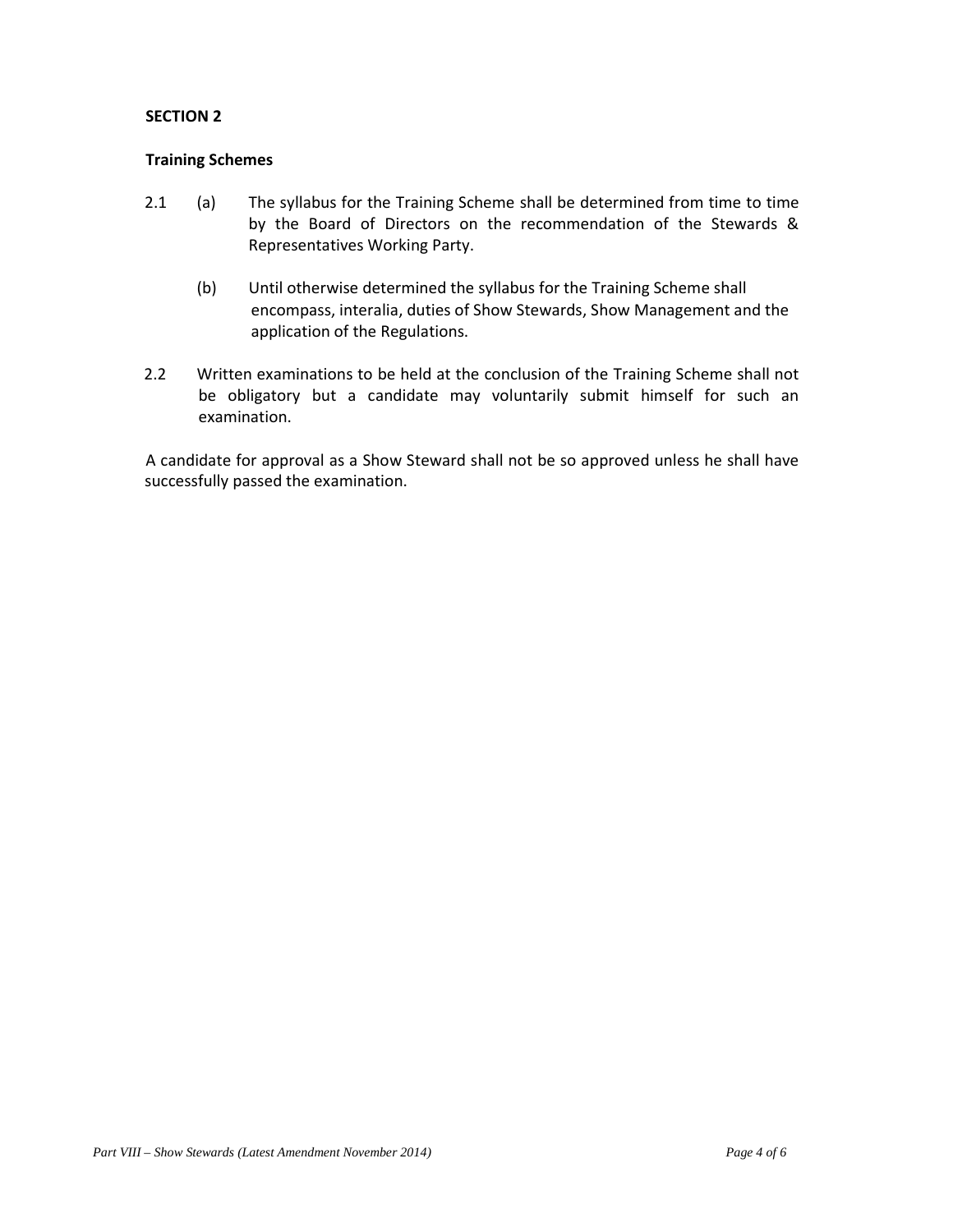## **SECTION 2**

## **Training Schemes**

- 2.1 (a) The syllabus for the Training Scheme shall be determined from time to time by the Board of Directors on the recommendation of the Stewards & Representatives Working Party.
	- (b) Until otherwise determined the syllabus for the Training Scheme shall encompass, interalia, duties of Show Stewards, Show Management and the application of the Regulations.
- 2.2 Written examinations to be held at the conclusion of the Training Scheme shall not be obligatory but a candidate may voluntarily submit himself for such an examination.

 A candidate for approval as a Show Steward shall not be so approved unless he shall have successfully passed the examination.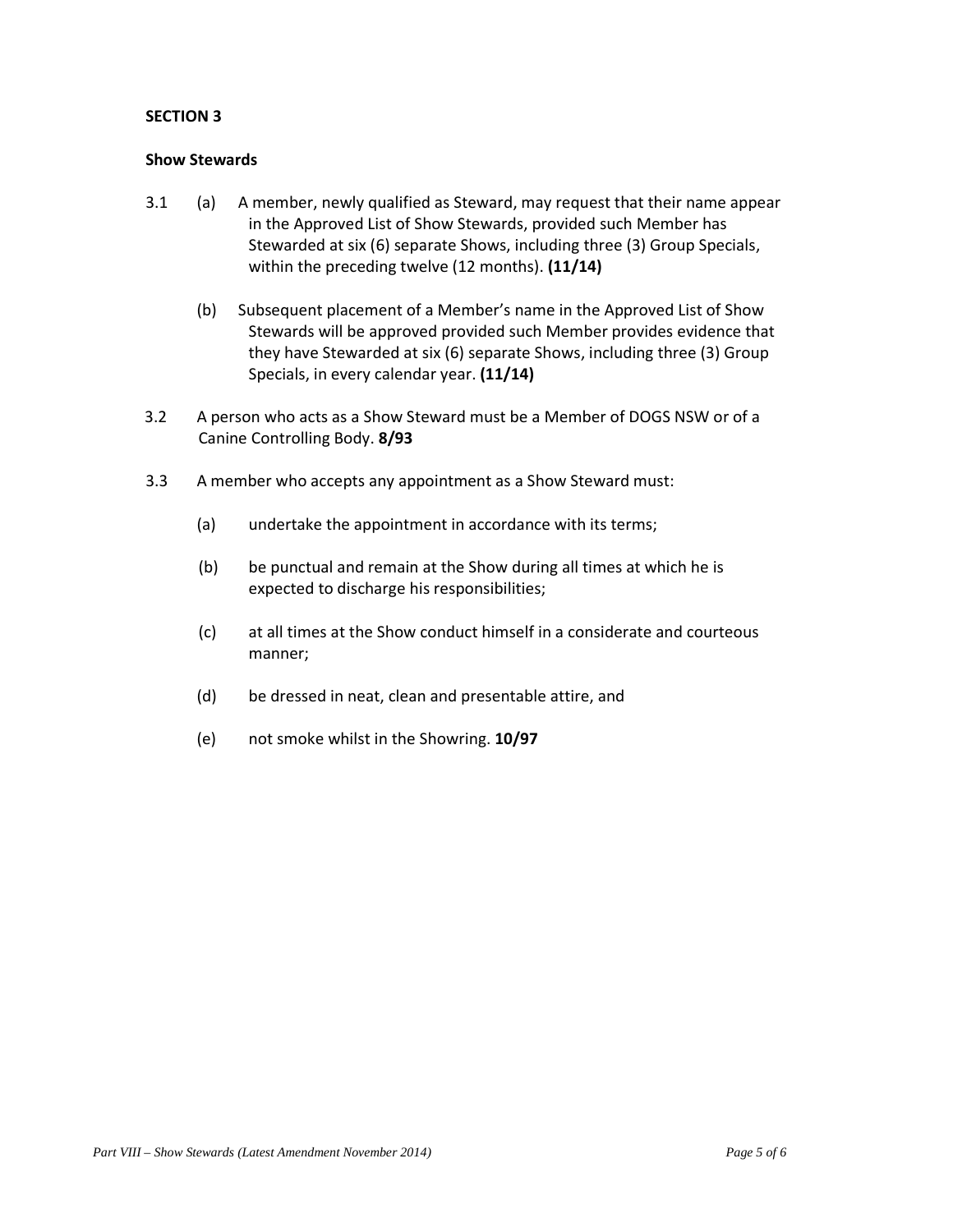## **SECTION 3**

#### **Show Stewards**

- 3.1 (a) A member, newly qualified as Steward, may request that their name appear in the Approved List of Show Stewards, provided such Member has Stewarded at six (6) separate Shows, including three (3) Group Specials, within the preceding twelve (12 months). **(11/14)** 
	- (b) Subsequent placement of a Member's name in the Approved List of Show Stewards will be approved provided such Member provides evidence that they have Stewarded at six (6) separate Shows, including three (3) Group Specials, in every calendar year. **(11/14)**
- 3.2 A person who acts as a Show Steward must be a Member of DOGS NSW or of a Canine Controlling Body. **8/93**
- 3.3 A member who accepts any appointment as a Show Steward must:
	- (a) undertake the appointment in accordance with its terms;
	- (b) be punctual and remain at the Show during all times at which he is expected to discharge his responsibilities;
	- (c) at all times at the Show conduct himself in a considerate and courteous manner;
	- (d) be dressed in neat, clean and presentable attire, and
	- (e) not smoke whilst in the Showring. **10/97**